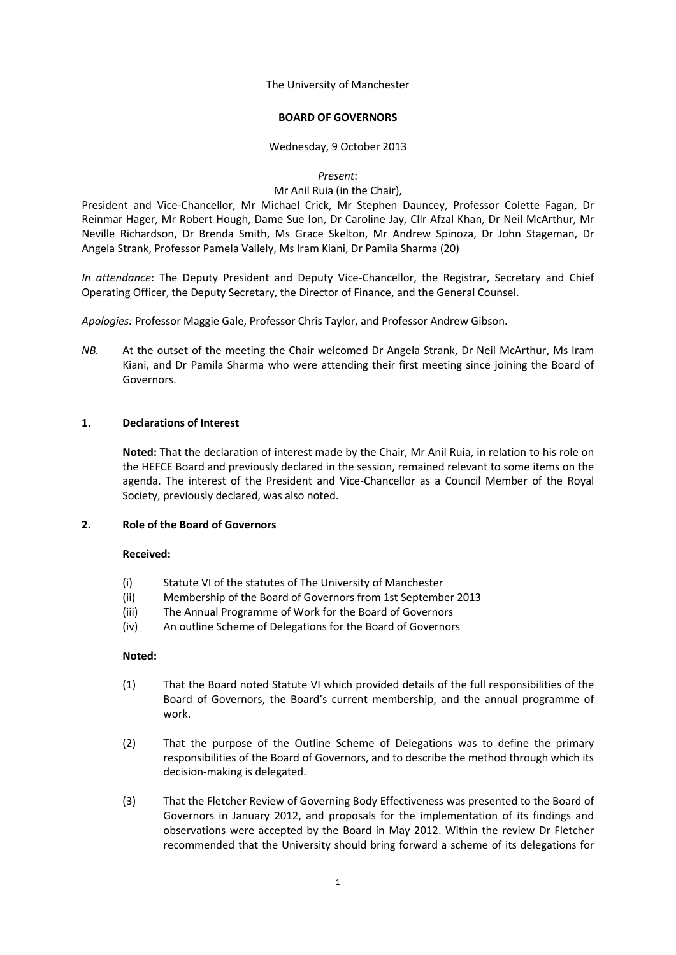The University of Manchester

## **BOARD OF GOVERNORS**

## Wednesday, 9 October 2013

*Present*:

## Mr Anil Ruia (in the Chair),

President and Vice-Chancellor, Mr Michael Crick, Mr Stephen Dauncey, Professor Colette Fagan, Dr Reinmar Hager, Mr Robert Hough, Dame Sue Ion, Dr Caroline Jay, Cllr Afzal Khan, Dr Neil McArthur, Mr Neville Richardson, Dr Brenda Smith, Ms Grace Skelton, Mr Andrew Spinoza, Dr John Stageman, Dr Angela Strank, Professor Pamela Vallely, Ms Iram Kiani, Dr Pamila Sharma (20)

*In attendance*: The Deputy President and Deputy Vice-Chancellor, the Registrar, Secretary and Chief Operating Officer, the Deputy Secretary, the Director of Finance, and the General Counsel.

*Apologies:* Professor Maggie Gale, Professor Chris Taylor, and Professor Andrew Gibson.

*NB.* At the outset of the meeting the Chair welcomed Dr Angela Strank, Dr Neil McArthur, Ms Iram Kiani, and Dr Pamila Sharma who were attending their first meeting since joining the Board of Governors.

# **1. Declarations of Interest**

**Noted:** That the declaration of interest made by the Chair, Mr Anil Ruia, in relation to his role on the HEFCE Board and previously declared in the session, remained relevant to some items on the agenda. The interest of the President and Vice-Chancellor as a Council Member of the Royal Society, previously declared, was also noted.

## **2. Role of the Board of Governors**

## **Received:**

- (i) Statute VI of the statutes of The University of Manchester
- (ii) Membership of the Board of Governors from 1st September 2013
- (iii) The Annual Programme of Work for the Board of Governors
- (iv) An outline Scheme of Delegations for the Board of Governors

## **Noted:**

- (1) That the Board noted Statute VI which provided details of the full responsibilities of the Board of Governors, the Board's current membership, and the annual programme of work.
- (2) That the purpose of the Outline Scheme of Delegations was to define the primary responsibilities of the Board of Governors, and to describe the method through which its decision-making is delegated.
- (3) That the Fletcher Review of Governing Body Effectiveness was presented to the Board of Governors in January 2012, and proposals for the implementation of its findings and observations were accepted by the Board in May 2012. Within the review Dr Fletcher recommended that the University should bring forward a scheme of its delegations for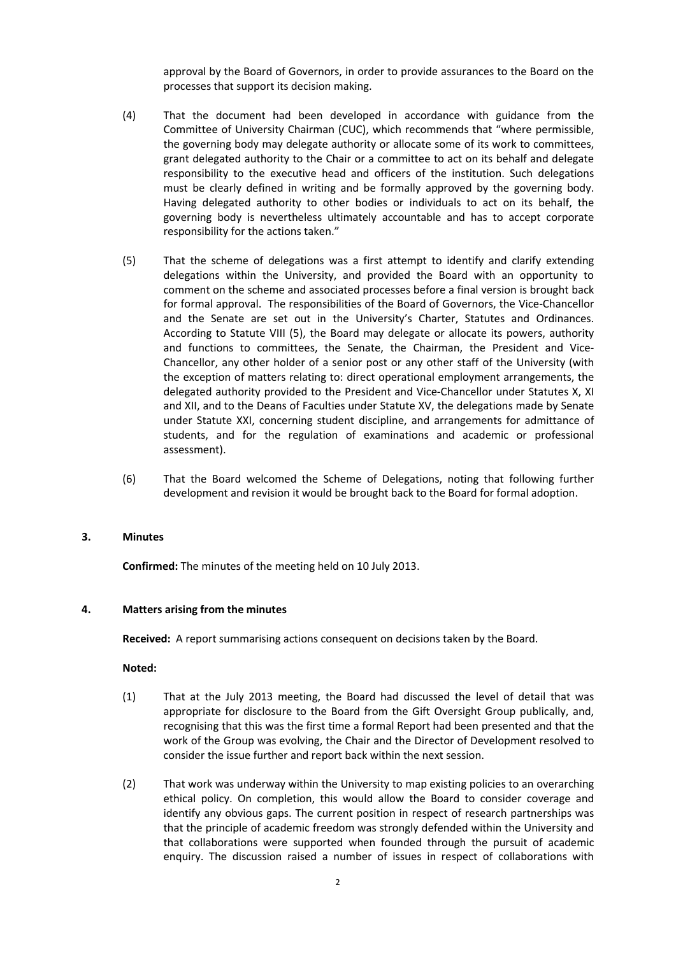approval by the Board of Governors, in order to provide assurances to the Board on the processes that support its decision making.

- (4) That the document had been developed in accordance with guidance from the Committee of University Chairman (CUC), which recommends that "where permissible, the governing body may delegate authority or allocate some of its work to committees, grant delegated authority to the Chair or a committee to act on its behalf and delegate responsibility to the executive head and officers of the institution. Such delegations must be clearly defined in writing and be formally approved by the governing body. Having delegated authority to other bodies or individuals to act on its behalf, the governing body is nevertheless ultimately accountable and has to accept corporate responsibility for the actions taken."
- (5) That the scheme of delegations was a first attempt to identify and clarify extending delegations within the University, and provided the Board with an opportunity to comment on the scheme and associated processes before a final version is brought back for formal approval. The responsibilities of the Board of Governors, the Vice-Chancellor and the Senate are set out in the University's Charter, Statutes and Ordinances. According to Statute VIII (5), the Board may delegate or allocate its powers, authority and functions to committees, the Senate, the Chairman, the President and Vice-Chancellor, any other holder of a senior post or any other staff of the University (with the exception of matters relating to: direct operational employment arrangements, the delegated authority provided to the President and Vice-Chancellor under Statutes X, XI and XII, and to the Deans of Faculties under Statute XV, the delegations made by Senate under Statute XXI, concerning student discipline, and arrangements for admittance of students, and for the regulation of examinations and academic or professional assessment).
- (6) That the Board welcomed the Scheme of Delegations, noting that following further development and revision it would be brought back to the Board for formal adoption.

#### **3. Minutes**

**Confirmed:** The minutes of the meeting held on 10 July 2013.

#### **4. Matters arising from the minutes**

**Received:** A report summarising actions consequent on decisions taken by the Board.

#### **Noted:**

- (1) That at the July 2013 meeting, the Board had discussed the level of detail that was appropriate for disclosure to the Board from the Gift Oversight Group publically, and, recognising that this was the first time a formal Report had been presented and that the work of the Group was evolving, the Chair and the Director of Development resolved to consider the issue further and report back within the next session.
- (2) That work was underway within the University to map existing policies to an overarching ethical policy. On completion, this would allow the Board to consider coverage and identify any obvious gaps. The current position in respect of research partnerships was that the principle of academic freedom was strongly defended within the University and that collaborations were supported when founded through the pursuit of academic enquiry. The discussion raised a number of issues in respect of collaborations with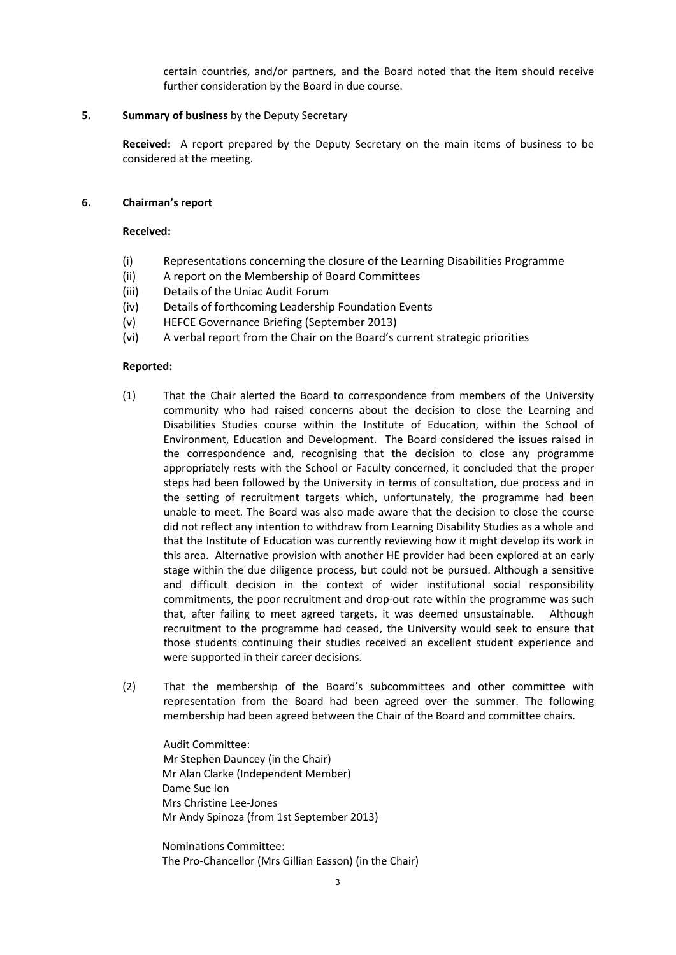certain countries, and/or partners, and the Board noted that the item should receive further consideration by the Board in due course.

## **5. Summary of business** by the Deputy Secretary

**Received:** A report prepared by the Deputy Secretary on the main items of business to be considered at the meeting.

#### **6. Chairman's report**

## **Received:**

- (i) Representations concerning the closure of the Learning Disabilities Programme
- (ii) A report on the Membership of Board Committees
- (iii) Details of the Uniac Audit Forum
- (iv) Details of forthcoming Leadership Foundation Events
- (v) HEFCE Governance Briefing (September 2013)
- (vi) A verbal report from the Chair on the Board's current strategic priorities

#### **Reported:**

- (1) That the Chair alerted the Board to correspondence from members of the University community who had raised concerns about the decision to close the Learning and Disabilities Studies course within the Institute of Education, within the School of Environment, Education and Development. The Board considered the issues raised in the correspondence and, recognising that the decision to close any programme appropriately rests with the School or Faculty concerned, it concluded that the proper steps had been followed by the University in terms of consultation, due process and in the setting of recruitment targets which, unfortunately, the programme had been unable to meet. The Board was also made aware that the decision to close the course did not reflect any intention to withdraw from Learning Disability Studies as a whole and that the Institute of Education was currently reviewing how it might develop its work in this area. Alternative provision with another HE provider had been explored at an early stage within the due diligence process, but could not be pursued. Although a sensitive and difficult decision in the context of wider institutional social responsibility commitments, the poor recruitment and drop-out rate within the programme was such that, after failing to meet agreed targets, it was deemed unsustainable. Although recruitment to the programme had ceased, the University would seek to ensure that those students continuing their studies received an excellent student experience and were supported in their career decisions.
- (2) That the membership of the Board's subcommittees and other committee with representation from the Board had been agreed over the summer. The following membership had been agreed between the Chair of the Board and committee chairs.

Audit Committee: Mr Stephen Dauncey (in the Chair) Mr Alan Clarke (Independent Member) Dame Sue Ion Mrs Christine Lee-Jones Mr Andy Spinoza (from 1st September 2013)

Nominations Committee: The Pro-Chancellor (Mrs Gillian Easson) (in the Chair)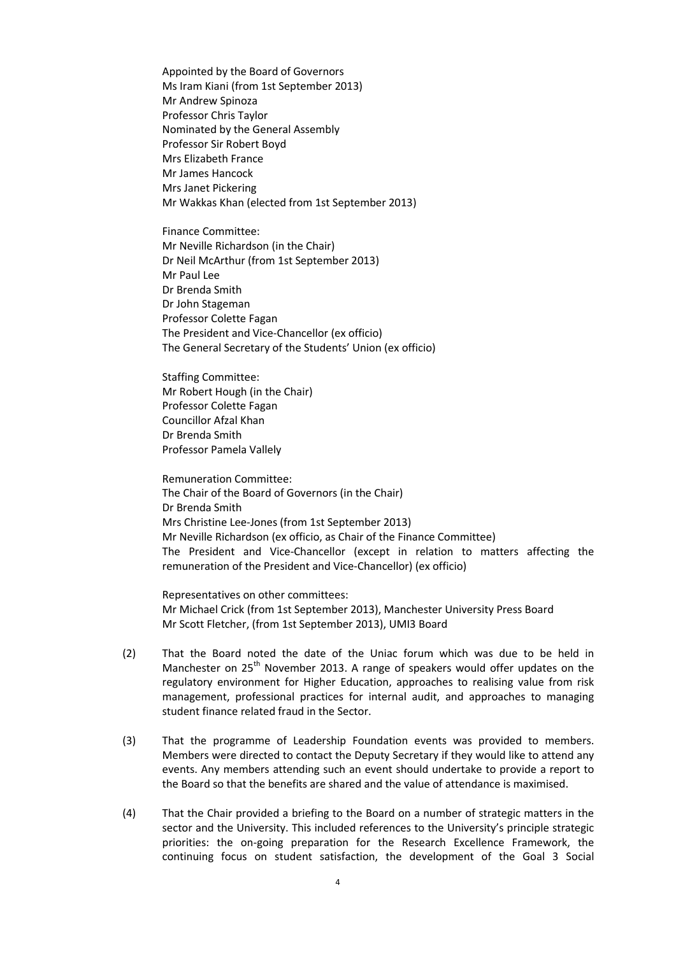Appointed by the Board of Governors Ms Iram Kiani (from 1st September 2013) Mr Andrew Spinoza Professor Chris Taylor Nominated by the General Assembly Professor Sir Robert Boyd Mrs Elizabeth France Mr James Hancock Mrs Janet Pickering Mr Wakkas Khan (elected from 1st September 2013)

Finance Committee: Mr Neville Richardson (in the Chair) Dr Neil McArthur (from 1st September 2013) Mr Paul Lee Dr Brenda Smith Dr John Stageman Professor Colette Fagan The President and Vice-Chancellor (ex officio) The General Secretary of the Students' Union (ex officio)

Staffing Committee: Mr Robert Hough (in the Chair) Professor Colette Fagan Councillor Afzal Khan Dr Brenda Smith Professor Pamela Vallely

Remuneration Committee: The Chair of the Board of Governors (in the Chair) Dr Brenda Smith Mrs Christine Lee-Jones (from 1st September 2013) Mr Neville Richardson (ex officio, as Chair of the Finance Committee) The President and Vice-Chancellor (except in relation to matters affecting the remuneration of the President and Vice-Chancellor) (ex officio)

Representatives on other committees: Mr Michael Crick (from 1st September 2013), Manchester University Press Board Mr Scott Fletcher, (from 1st September 2013), UMI3 Board

- (2) That the Board noted the date of the Uniac forum which was due to be held in Manchester on 25<sup>th</sup> November 2013. A range of speakers would offer updates on the regulatory environment for Higher Education, approaches to realising value from risk management, professional practices for internal audit, and approaches to managing student finance related fraud in the Sector.
- (3) That the programme of Leadership Foundation events was provided to members. Members were directed to contact the Deputy Secretary if they would like to attend any events. Any members attending such an event should undertake to provide a report to the Board so that the benefits are shared and the value of attendance is maximised.
- (4) That the Chair provided a briefing to the Board on a number of strategic matters in the sector and the University. This included references to the University's principle strategic priorities: the on-going preparation for the Research Excellence Framework, the continuing focus on student satisfaction, the development of the Goal 3 Social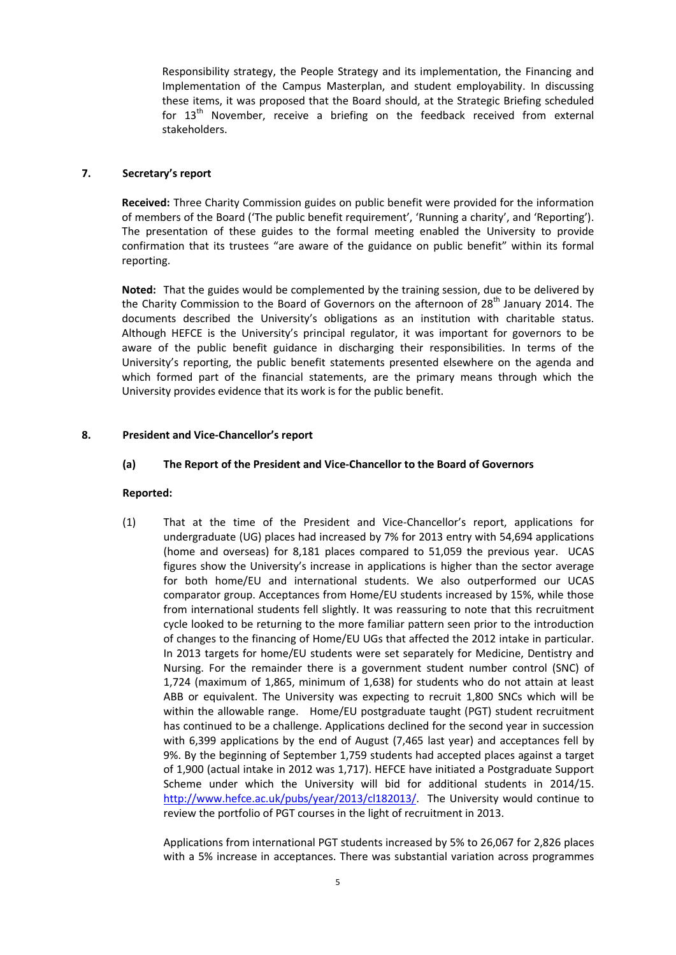Responsibility strategy, the People Strategy and its implementation, the Financing and Implementation of the Campus Masterplan, and student employability. In discussing these items, it was proposed that the Board should, at the Strategic Briefing scheduled for 13<sup>th</sup> November, receive a briefing on the feedback received from external stakeholders.

# **7. Secretary's report**

**Received:** Three Charity Commission guides on public benefit were provided for the information of members of the Board ('The public benefit requirement', 'Running a charity', and 'Reporting'). The presentation of these guides to the formal meeting enabled the University to provide confirmation that its trustees "are aware of the guidance on public benefit" within its formal reporting.

**Noted:** That the guides would be complemented by the training session, due to be delivered by the Charity Commission to the Board of Governors on the afternoon of 28<sup>th</sup> January 2014. The documents described the University's obligations as an institution with charitable status. Although HEFCE is the University's principal regulator, it was important for governors to be aware of the public benefit guidance in discharging their responsibilities. In terms of the University's reporting, the public benefit statements presented elsewhere on the agenda and which formed part of the financial statements, are the primary means through which the University provides evidence that its work is for the public benefit.

# **8. President and Vice-Chancellor's report**

# **(a) The Report of the President and Vice-Chancellor to the Board of Governors**

## **Reported:**

(1) That at the time of the President and Vice-Chancellor's report, applications for undergraduate (UG) places had increased by 7% for 2013 entry with 54,694 applications (home and overseas) for 8,181 places compared to 51,059 the previous year. UCAS figures show the University's increase in applications is higher than the sector average for both home/EU and international students. We also outperformed our UCAS comparator group. Acceptances from Home/EU students increased by 15%, while those from international students fell slightly. It was reassuring to note that this recruitment cycle looked to be returning to the more familiar pattern seen prior to the introduction of changes to the financing of Home/EU UGs that affected the 2012 intake in particular. In 2013 targets for home/EU students were set separately for Medicine, Dentistry and Nursing. For the remainder there is a government student number control (SNC) of 1,724 (maximum of 1,865, minimum of 1,638) for students who do not attain at least ABB or equivalent. The University was expecting to recruit 1,800 SNCs which will be within the allowable range. Home/EU postgraduate taught (PGT) student recruitment has continued to be a challenge. Applications declined for the second year in succession with 6,399 applications by the end of August (7,465 last year) and acceptances fell by 9%. By the beginning of September 1,759 students had accepted places against a target of 1,900 (actual intake in 2012 was 1,717). HEFCE have initiated a Postgraduate Support Scheme under which the University will bid for additional students in 2014/15. [http://www.hefce.ac.uk/pubs/year/2013/cl182013/.](http://www.hefce.ac.uk/pubs/year/2013/cl182013/) The University would continue to review the portfolio of PGT courses in the light of recruitment in 2013.

Applications from international PGT students increased by 5% to 26,067 for 2,826 places with a 5% increase in acceptances. There was substantial variation across programmes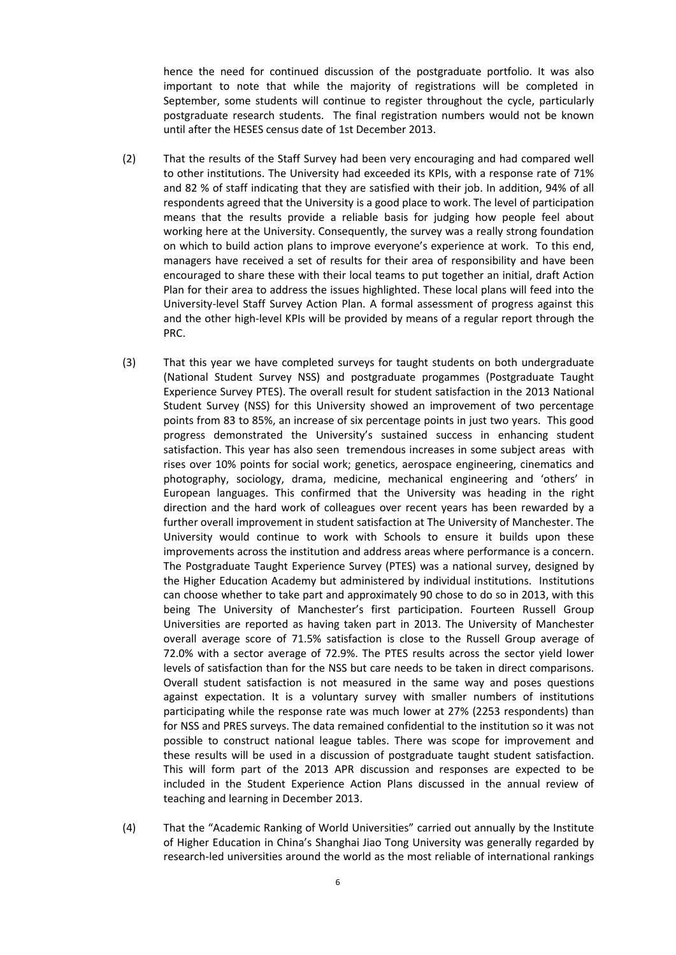hence the need for continued discussion of the postgraduate portfolio. It was also important to note that while the majority of registrations will be completed in September, some students will continue to register throughout the cycle, particularly postgraduate research students. The final registration numbers would not be known until after the HESES census date of 1st December 2013.

- (2) That the results of the Staff Survey had been very encouraging and had compared well to other institutions. The University had exceeded its KPIs, with a response rate of 71% and 82 % of staff indicating that they are satisfied with their job. In addition, 94% of all respondents agreed that the University is a good place to work. The level of participation means that the results provide a reliable basis for judging how people feel about working here at the University. Consequently, the survey was a really strong foundation on which to build action plans to improve everyone's experience at work. To this end, managers have received a set of results for their area of responsibility and have been encouraged to share these with their local teams to put together an initial, draft Action Plan for their area to address the issues highlighted. These local plans will feed into the University-level Staff Survey Action Plan. A formal assessment of progress against this and the other high-level KPIs will be provided by means of a regular report through the PRC.
- (3) That this year we have completed surveys for taught students on both undergraduate (National Student Survey NSS) and postgraduate progammes (Postgraduate Taught Experience Survey PTES). The overall result for student satisfaction in the 2013 National Student Survey (NSS) for this University showed an improvement of two percentage points from 83 to 85%, an increase of six percentage points in just two years. This good progress demonstrated the University's sustained success in enhancing student satisfaction. This year has also seen tremendous increases in some subject areas with rises over 10% points for social work; genetics, aerospace engineering, cinematics and photography, sociology, drama, medicine, mechanical engineering and 'others' in European languages. This confirmed that the University was heading in the right direction and the hard work of colleagues over recent years has been rewarded by a further overall improvement in student satisfaction at The University of Manchester. The University would continue to work with Schools to ensure it builds upon these improvements across the institution and address areas where performance is a concern. The Postgraduate Taught Experience Survey (PTES) was a national survey, designed by the Higher Education Academy but administered by individual institutions. Institutions can choose whether to take part and approximately 90 chose to do so in 2013, with this being The University of Manchester's first participation. Fourteen Russell Group Universities are reported as having taken part in 2013. The University of Manchester overall average score of 71.5% satisfaction is close to the Russell Group average of 72.0% with a sector average of 72.9%. The PTES results across the sector yield lower levels of satisfaction than for the NSS but care needs to be taken in direct comparisons. Overall student satisfaction is not measured in the same way and poses questions against expectation. It is a voluntary survey with smaller numbers of institutions participating while the response rate was much lower at 27% (2253 respondents) than for NSS and PRES surveys. The data remained confidential to the institution so it was not possible to construct national league tables. There was scope for improvement and these results will be used in a discussion of postgraduate taught student satisfaction. This will form part of the 2013 APR discussion and responses are expected to be included in the Student Experience Action Plans discussed in the annual review of teaching and learning in December 2013.
- (4) That the "Academic Ranking of World Universities" carried out annually by the Institute of Higher Education in China's Shanghai Jiao Tong University was generally regarded by research-led universities around the world as the most reliable of international rankings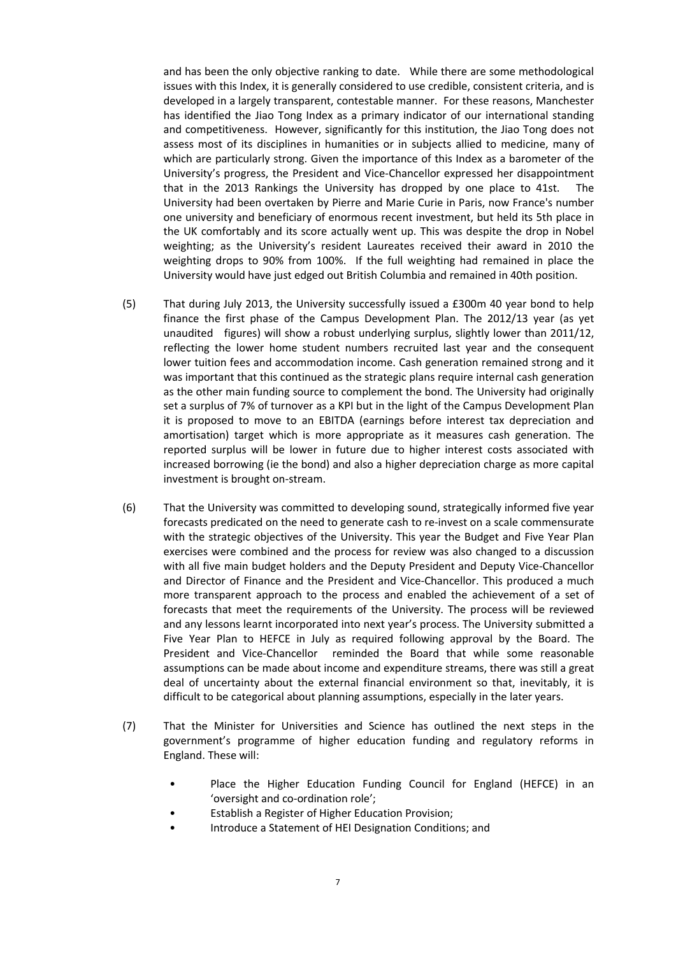and has been the only objective ranking to date. While there are some methodological issues with this Index, it is generally considered to use credible, consistent criteria, and is developed in a largely transparent, contestable manner. For these reasons, Manchester has identified the Jiao Tong Index as a primary indicator of our international standing and competitiveness. However, significantly for this institution, the Jiao Tong does not assess most of its disciplines in humanities or in subjects allied to medicine, many of which are particularly strong. Given the importance of this Index as a barometer of the University's progress, the President and Vice-Chancellor expressed her disappointment that in the 2013 Rankings the University has dropped by one place to 41st. The University had been overtaken by Pierre and Marie Curie in Paris, now France's number one university and beneficiary of enormous recent investment, but held its 5th place in the UK comfortably and its score actually went up. This was despite the drop in Nobel weighting; as the University's resident Laureates received their award in 2010 the weighting drops to 90% from 100%. If the full weighting had remained in place the University would have just edged out British Columbia and remained in 40th position.

- (5) That during July 2013, the University successfully issued a £300m 40 year bond to help finance the first phase of the Campus Development Plan. The 2012/13 year (as yet unaudited figures) will show a robust underlying surplus, slightly lower than 2011/12, reflecting the lower home student numbers recruited last year and the consequent lower tuition fees and accommodation income. Cash generation remained strong and it was important that this continued as the strategic plans require internal cash generation as the other main funding source to complement the bond. The University had originally set a surplus of 7% of turnover as a KPI but in the light of the Campus Development Plan it is proposed to move to an EBITDA (earnings before interest tax depreciation and amortisation) target which is more appropriate as it measures cash generation. The reported surplus will be lower in future due to higher interest costs associated with increased borrowing (ie the bond) and also a higher depreciation charge as more capital investment is brought on-stream.
- (6) That the University was committed to developing sound, strategically informed five year forecasts predicated on the need to generate cash to re-invest on a scale commensurate with the strategic objectives of the University. This year the Budget and Five Year Plan exercises were combined and the process for review was also changed to a discussion with all five main budget holders and the Deputy President and Deputy Vice-Chancellor and Director of Finance and the President and Vice-Chancellor. This produced a much more transparent approach to the process and enabled the achievement of a set of forecasts that meet the requirements of the University. The process will be reviewed and any lessons learnt incorporated into next year's process. The University submitted a Five Year Plan to HEFCE in July as required following approval by the Board. The President and Vice-Chancellor reminded the Board that while some reasonable assumptions can be made about income and expenditure streams, there was still a great deal of uncertainty about the external financial environment so that, inevitably, it is difficult to be categorical about planning assumptions, especially in the later years.
- (7) That the Minister for Universities and Science has outlined the next steps in the government's programme of higher education funding and regulatory reforms in England. These will:
	- Place the Higher Education Funding Council for England (HEFCE) in an 'oversight and co-ordination role';
	- Establish a Register of Higher Education Provision;
	- Introduce a Statement of HEI Designation Conditions; and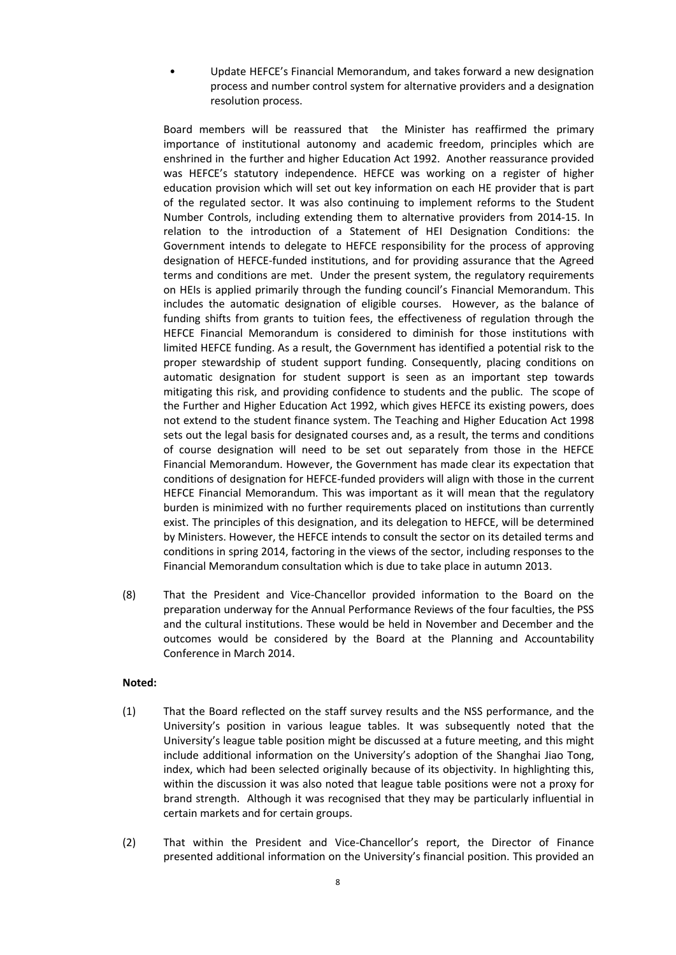• Update HEFCE's Financial Memorandum, and takes forward a new designation process and number control system for alternative providers and a designation resolution process.

Board members will be reassured that the Minister has reaffirmed the primary importance of institutional autonomy and academic freedom, principles which are enshrined in the further and higher Education Act 1992. Another reassurance provided was HEFCE's statutory independence. HEFCE was working on a register of higher education provision which will set out key information on each HE provider that is part of the regulated sector. It was also continuing to implement reforms to the Student Number Controls, including extending them to alternative providers from 2014-15. In relation to the introduction of a Statement of HEI Designation Conditions: the Government intends to delegate to HEFCE responsibility for the process of approving designation of HEFCE-funded institutions, and for providing assurance that the Agreed terms and conditions are met. Under the present system, the regulatory requirements on HEIs is applied primarily through the funding council's Financial Memorandum. This includes the automatic designation of eligible courses. However, as the balance of funding shifts from grants to tuition fees, the effectiveness of regulation through the HEFCE Financial Memorandum is considered to diminish for those institutions with limited HEFCE funding. As a result, the Government has identified a potential risk to the proper stewardship of student support funding. Consequently, placing conditions on automatic designation for student support is seen as an important step towards mitigating this risk, and providing confidence to students and the public. The scope of the Further and Higher Education Act 1992, which gives HEFCE its existing powers, does not extend to the student finance system. The Teaching and Higher Education Act 1998 sets out the legal basis for designated courses and, as a result, the terms and conditions of course designation will need to be set out separately from those in the HEFCE Financial Memorandum. However, the Government has made clear its expectation that conditions of designation for HEFCE-funded providers will align with those in the current HEFCE Financial Memorandum. This was important as it will mean that the regulatory burden is minimized with no further requirements placed on institutions than currently exist. The principles of this designation, and its delegation to HEFCE, will be determined by Ministers. However, the HEFCE intends to consult the sector on its detailed terms and conditions in spring 2014, factoring in the views of the sector, including responses to the Financial Memorandum consultation which is due to take place in autumn 2013.

(8) That the President and Vice-Chancellor provided information to the Board on the preparation underway for the Annual Performance Reviews of the four faculties, the PSS and the cultural institutions. These would be held in November and December and the outcomes would be considered by the Board at the Planning and Accountability Conference in March 2014.

## **Noted:**

- (1) That the Board reflected on the staff survey results and the NSS performance, and the University's position in various league tables. It was subsequently noted that the University's league table position might be discussed at a future meeting, and this might include additional information on the University's adoption of the Shanghai Jiao Tong, index, which had been selected originally because of its objectivity. In highlighting this, within the discussion it was also noted that league table positions were not a proxy for brand strength. Although it was recognised that they may be particularly influential in certain markets and for certain groups.
- (2) That within the President and Vice-Chancellor's report, the Director of Finance presented additional information on the University's financial position. This provided an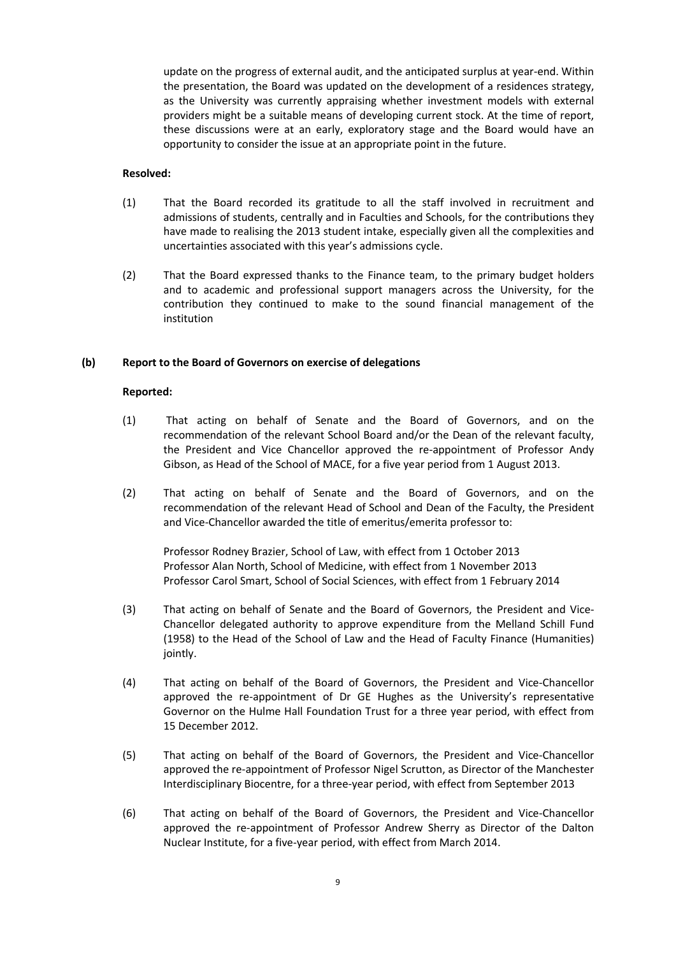update on the progress of external audit, and the anticipated surplus at year-end. Within the presentation, the Board was updated on the development of a residences strategy, as the University was currently appraising whether investment models with external providers might be a suitable means of developing current stock. At the time of report, these discussions were at an early, exploratory stage and the Board would have an opportunity to consider the issue at an appropriate point in the future.

#### **Resolved:**

- (1) That the Board recorded its gratitude to all the staff involved in recruitment and admissions of students, centrally and in Faculties and Schools, for the contributions they have made to realising the 2013 student intake, especially given all the complexities and uncertainties associated with this year's admissions cycle.
- (2) That the Board expressed thanks to the Finance team, to the primary budget holders and to academic and professional support managers across the University, for the contribution they continued to make to the sound financial management of the institution

#### **(b) Report to the Board of Governors on exercise of delegations**

#### **Reported:**

- (1) That acting on behalf of Senate and the Board of Governors, and on the recommendation of the relevant School Board and/or the Dean of the relevant faculty, the President and Vice Chancellor approved the re-appointment of Professor Andy Gibson, as Head of the School of MACE, for a five year period from 1 August 2013.
- (2) That acting on behalf of Senate and the Board of Governors, and on the recommendation of the relevant Head of School and Dean of the Faculty, the President and Vice-Chancellor awarded the title of emeritus/emerita professor to:

Professor Rodney Brazier, School of Law, with effect from 1 October 2013 Professor Alan North, School of Medicine, with effect from 1 November 2013 Professor Carol Smart, School of Social Sciences, with effect from 1 February 2014

- (3) That acting on behalf of Senate and the Board of Governors, the President and Vice-Chancellor delegated authority to approve expenditure from the Melland Schill Fund (1958) to the Head of the School of Law and the Head of Faculty Finance (Humanities) jointly.
- (4) That acting on behalf of the Board of Governors, the President and Vice-Chancellor approved the re-appointment of Dr GE Hughes as the University's representative Governor on the Hulme Hall Foundation Trust for a three year period, with effect from 15 December 2012.
- (5) That acting on behalf of the Board of Governors, the President and Vice-Chancellor approved the re-appointment of Professor Nigel Scrutton, as Director of the Manchester Interdisciplinary Biocentre, for a three-year period, with effect from September 2013
- (6) That acting on behalf of the Board of Governors, the President and Vice-Chancellor approved the re-appointment of Professor Andrew Sherry as Director of the Dalton Nuclear Institute, for a five-year period, with effect from March 2014.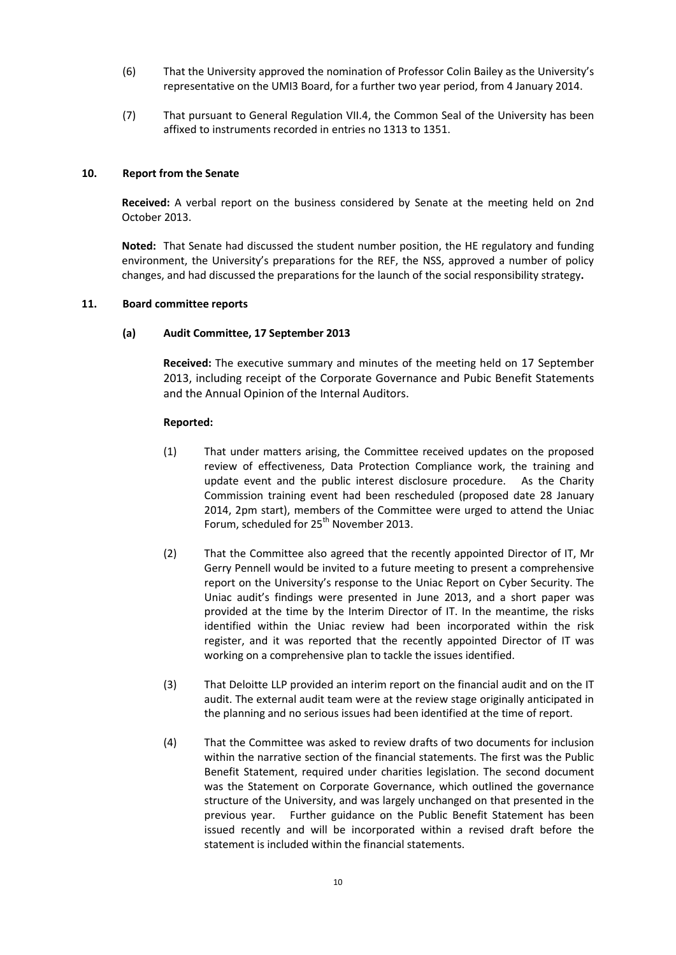- (6) That the University approved the nomination of Professor Colin Bailey as the University's representative on the UMI3 Board, for a further two year period, from 4 January 2014.
- (7) That pursuant to General Regulation VII.4, the Common Seal of the University has been affixed to instruments recorded in entries no 1313 to 1351.

## **10. Report from the Senate**

**Received:** A verbal report on the business considered by Senate at the meeting held on 2nd October 2013.

**Noted:** That Senate had discussed the student number position, the HE regulatory and funding environment, the University's preparations for the REF, the NSS, approved a number of policy changes, and had discussed the preparations for the launch of the social responsibility strategy**.**

#### **11. Board committee reports**

#### **(a) Audit Committee, 17 September 2013**

**Received:** The executive summary and minutes of the meeting held on 17 September 2013, including receipt of the Corporate Governance and Pubic Benefit Statements and the Annual Opinion of the Internal Auditors.

#### **Reported:**

- (1) That under matters arising, the Committee received updates on the proposed review of effectiveness, Data Protection Compliance work, the training and update event and the public interest disclosure procedure. As the Charity Commission training event had been rescheduled (proposed date 28 January 2014, 2pm start), members of the Committee were urged to attend the Uniac Forum, scheduled for 25<sup>th</sup> November 2013.
- (2) That the Committee also agreed that the recently appointed Director of IT, Mr Gerry Pennell would be invited to a future meeting to present a comprehensive report on the University's response to the Uniac Report on Cyber Security. The Uniac audit's findings were presented in June 2013, and a short paper was provided at the time by the Interim Director of IT. In the meantime, the risks identified within the Uniac review had been incorporated within the risk register, and it was reported that the recently appointed Director of IT was working on a comprehensive plan to tackle the issues identified.
- (3) That Deloitte LLP provided an interim report on the financial audit and on the IT audit. The external audit team were at the review stage originally anticipated in the planning and no serious issues had been identified at the time of report.
- (4) That the Committee was asked to review drafts of two documents for inclusion within the narrative section of the financial statements. The first was the Public Benefit Statement, required under charities legislation. The second document was the Statement on Corporate Governance, which outlined the governance structure of the University, and was largely unchanged on that presented in the previous year. Further guidance on the Public Benefit Statement has been issued recently and will be incorporated within a revised draft before the statement is included within the financial statements.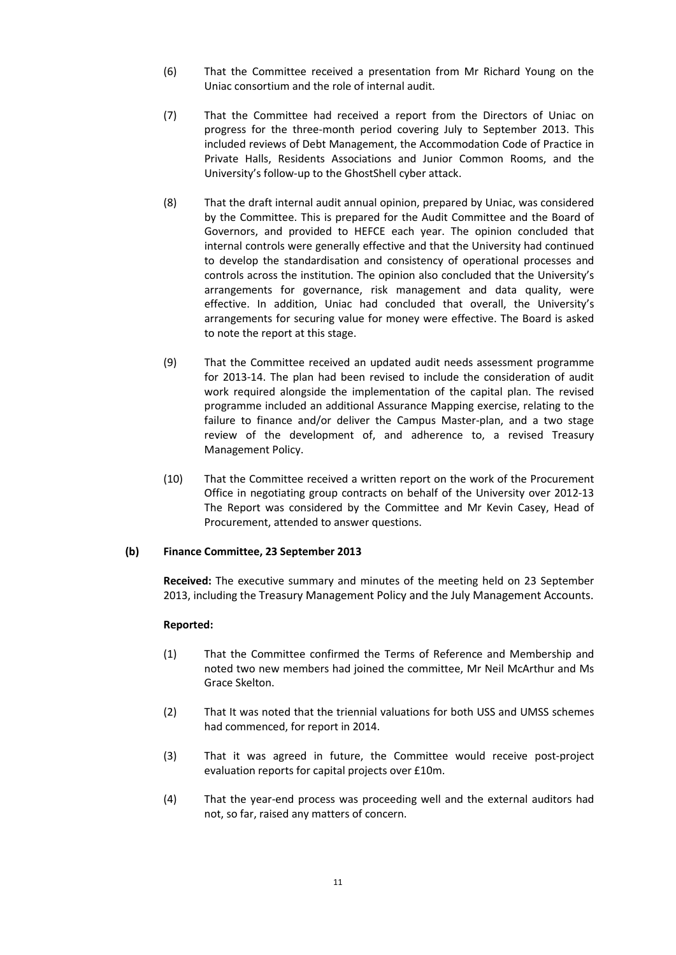- (6) That the Committee received a presentation from Mr Richard Young on the Uniac consortium and the role of internal audit.
- (7) That the Committee had received a report from the Directors of Uniac on progress for the three-month period covering July to September 2013. This included reviews of Debt Management, the Accommodation Code of Practice in Private Halls, Residents Associations and Junior Common Rooms, and the University's follow-up to the GhostShell cyber attack.
- (8) That the draft internal audit annual opinion, prepared by Uniac, was considered by the Committee. This is prepared for the Audit Committee and the Board of Governors, and provided to HEFCE each year. The opinion concluded that internal controls were generally effective and that the University had continued to develop the standardisation and consistency of operational processes and controls across the institution. The opinion also concluded that the University's arrangements for governance, risk management and data quality, were effective. In addition, Uniac had concluded that overall, the University's arrangements for securing value for money were effective. The Board is asked to note the report at this stage.
- (9) That the Committee received an updated audit needs assessment programme for 2013-14. The plan had been revised to include the consideration of audit work required alongside the implementation of the capital plan. The revised programme included an additional Assurance Mapping exercise, relating to the failure to finance and/or deliver the Campus Master-plan, and a two stage review of the development of, and adherence to, a revised Treasury Management Policy.
- (10) That the Committee received a written report on the work of the Procurement Office in negotiating group contracts on behalf of the University over 2012-13 The Report was considered by the Committee and Mr Kevin Casey, Head of Procurement, attended to answer questions.

## **(b) Finance Committee, 23 September 2013**

**Received:** The executive summary and minutes of the meeting held on 23 September 2013, including the Treasury Management Policy and the July Management Accounts.

## **Reported:**

- (1) That the Committee confirmed the Terms of Reference and Membership and noted two new members had joined the committee, Mr Neil McArthur and Ms Grace Skelton.
- (2) That It was noted that the triennial valuations for both USS and UMSS schemes had commenced, for report in 2014.
- (3) That it was agreed in future, the Committee would receive post-project evaluation reports for capital projects over £10m.
- (4) That the year-end process was proceeding well and the external auditors had not, so far, raised any matters of concern.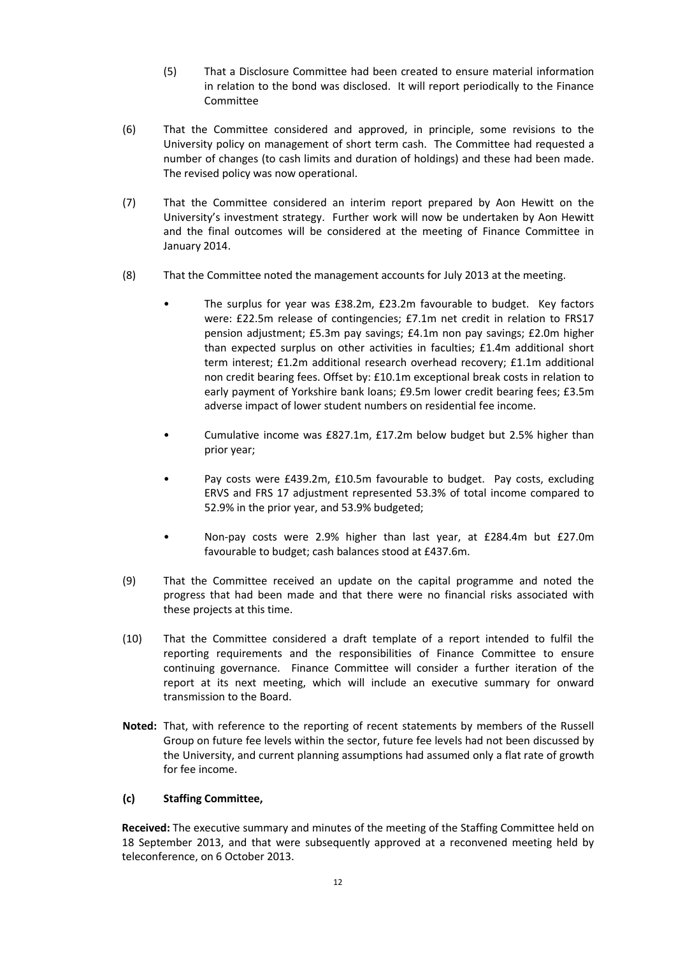- (5) That a Disclosure Committee had been created to ensure material information in relation to the bond was disclosed. It will report periodically to the Finance Committee
- (6) That the Committee considered and approved, in principle, some revisions to the University policy on management of short term cash. The Committee had requested a number of changes (to cash limits and duration of holdings) and these had been made. The revised policy was now operational.
- (7) That the Committee considered an interim report prepared by Aon Hewitt on the University's investment strategy. Further work will now be undertaken by Aon Hewitt and the final outcomes will be considered at the meeting of Finance Committee in January 2014.
- (8) That the Committee noted the management accounts for July 2013 at the meeting.
	- The surplus for year was £38.2m, £23.2m favourable to budget. Key factors were: £22.5m release of contingencies; £7.1m net credit in relation to FRS17 pension adjustment; £5.3m pay savings; £4.1m non pay savings; £2.0m higher than expected surplus on other activities in faculties; £1.4m additional short term interest; £1.2m additional research overhead recovery; £1.1m additional non credit bearing fees. Offset by: £10.1m exceptional break costs in relation to early payment of Yorkshire bank loans; £9.5m lower credit bearing fees; £3.5m adverse impact of lower student numbers on residential fee income.
	- Cumulative income was £827.1m, £17.2m below budget but 2.5% higher than prior year;
	- Pay costs were £439.2m, £10.5m favourable to budget. Pay costs, excluding ERVS and FRS 17 adjustment represented 53.3% of total income compared to 52.9% in the prior year, and 53.9% budgeted;
	- Non-pay costs were 2.9% higher than last year, at £284.4m but £27.0m favourable to budget; cash balances stood at £437.6m.
- (9) That the Committee received an update on the capital programme and noted the progress that had been made and that there were no financial risks associated with these projects at this time.
- (10) That the Committee considered a draft template of a report intended to fulfil the reporting requirements and the responsibilities of Finance Committee to ensure continuing governance. Finance Committee will consider a further iteration of the report at its next meeting, which will include an executive summary for onward transmission to the Board.
- **Noted:** That, with reference to the reporting of recent statements by members of the Russell Group on future fee levels within the sector, future fee levels had not been discussed by the University, and current planning assumptions had assumed only a flat rate of growth for fee income.

## **(c) Staffing Committee,**

**Received:** The executive summary and minutes of the meeting of the Staffing Committee held on 18 September 2013, and that were subsequently approved at a reconvened meeting held by teleconference, on 6 October 2013.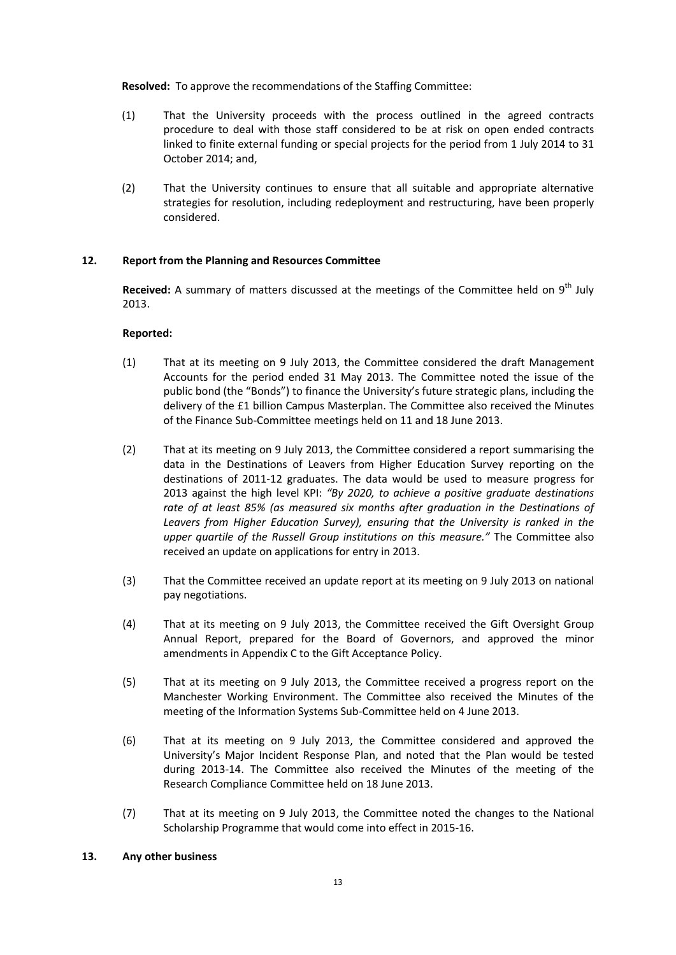**Resolved:** To approve the recommendations of the Staffing Committee:

- (1) That the University proceeds with the process outlined in the agreed contracts procedure to deal with those staff considered to be at risk on open ended contracts linked to finite external funding or special projects for the period from 1 July 2014 to 31 October 2014; and,
- (2) That the University continues to ensure that all suitable and appropriate alternative strategies for resolution, including redeployment and restructuring, have been properly considered.

# **12. Report from the Planning and Resources Committee**

Received: A summary of matters discussed at the meetings of the Committee held on 9<sup>th</sup> July 2013.

## **Reported:**

- (1) That at its meeting on 9 July 2013, the Committee considered the draft Management Accounts for the period ended 31 May 2013. The Committee noted the issue of the public bond (the "Bonds") to finance the University's future strategic plans, including the delivery of the £1 billion Campus Masterplan. The Committee also received the Minutes of the Finance Sub-Committee meetings held on 11 and 18 June 2013.
- (2) That at its meeting on 9 July 2013, the Committee considered a report summarising the data in the Destinations of Leavers from Higher Education Survey reporting on the destinations of 2011-12 graduates. The data would be used to measure progress for 2013 against the high level KPI: *"By 2020, to achieve a positive graduate destinations rate of at least 85% (as measured six months after graduation in the Destinations of Leavers from Higher Education Survey), ensuring that the University is ranked in the upper quartile of the Russell Group institutions on this measure."* The Committee also received an update on applications for entry in 2013.
- (3) That the Committee received an update report at its meeting on 9 July 2013 on national pay negotiations.
- (4) That at its meeting on 9 July 2013, the Committee received the Gift Oversight Group Annual Report, prepared for the Board of Governors, and approved the minor amendments in Appendix C to the Gift Acceptance Policy.
- (5) That at its meeting on 9 July 2013, the Committee received a progress report on the Manchester Working Environment. The Committee also received the Minutes of the meeting of the Information Systems Sub-Committee held on 4 June 2013.
- (6) That at its meeting on 9 July 2013, the Committee considered and approved the University's Major Incident Response Plan, and noted that the Plan would be tested during 2013-14. The Committee also received the Minutes of the meeting of the Research Compliance Committee held on 18 June 2013.
- (7) That at its meeting on 9 July 2013, the Committee noted the changes to the National Scholarship Programme that would come into effect in 2015-16.

## **13. Any other business**